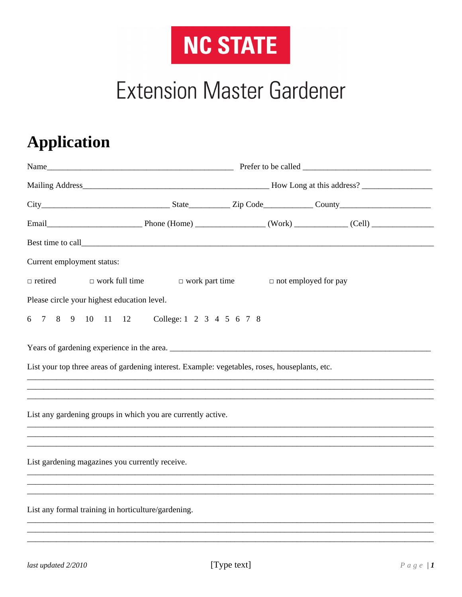

## **Extension Master Gardener**

## **Application**

|                                                     | Best time to call <b>Exercise 2.2</b> Figure 2.2 Figure 2.2 Figure 2.2 Figure 2.2 Figure 2.2 Figure 2.2 Figure 2.2 Figure 2.2 Figure 2.2 Figure 2.2 Figure 2.2 Figure 2.2 Figure 2.2 Figure 2.2 Figure 2.2 Figure 2.2 Figure 2.2 Fi |  |                             |  |
|-----------------------------------------------------|-------------------------------------------------------------------------------------------------------------------------------------------------------------------------------------------------------------------------------------|--|-----------------------------|--|
| Current employment status:                          |                                                                                                                                                                                                                                     |  |                             |  |
| $\Box$ retired                                      | $\Box$ work full time $\Box$ work part time                                                                                                                                                                                         |  | $\Box$ not employed for pay |  |
| Please circle your highest education level.         |                                                                                                                                                                                                                                     |  |                             |  |
|                                                     | 6 7 8 9 10 11 12 College: 1 2 3 4 5 6 7 8                                                                                                                                                                                           |  |                             |  |
|                                                     | List your top three areas of gardening interest. Example: vegetables, roses, houseplants, etc.                                                                                                                                      |  |                             |  |
|                                                     | List any gardening groups in which you are currently active.                                                                                                                                                                        |  |                             |  |
| List gardening magazines you currently receive.     |                                                                                                                                                                                                                                     |  |                             |  |
| List any formal training in horticulture/gardening. |                                                                                                                                                                                                                                     |  |                             |  |
|                                                     |                                                                                                                                                                                                                                     |  |                             |  |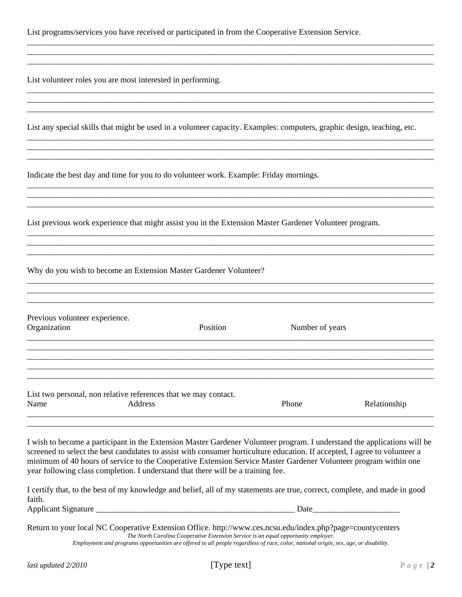|  |  | List programs/services you have received or participated in from the Cooperative Extension Service. |  |
|--|--|-----------------------------------------------------------------------------------------------------|--|
|  |  |                                                                                                     |  |

List volunteer roles you are most interested in performing.

List any special skills that might be used in a volunteer capacity. Examples: computers, graphic design, teaching, etc.

\_\_\_\_\_\_\_\_\_\_\_\_\_\_\_\_\_\_\_\_\_\_\_\_\_\_\_\_\_\_\_\_\_\_\_\_\_\_\_\_\_\_\_\_\_\_\_\_\_\_\_\_\_\_\_\_\_\_\_\_\_\_\_\_\_\_\_\_\_\_\_\_\_\_\_\_\_\_\_\_\_\_\_\_\_\_\_\_\_\_\_\_\_\_\_\_\_\_ \_\_\_\_\_\_\_\_\_\_\_\_\_\_\_\_\_\_\_\_\_\_\_\_\_\_\_\_\_\_\_\_\_\_\_\_\_\_\_\_\_\_\_\_\_\_\_\_\_\_\_\_\_\_\_\_\_\_\_\_\_\_\_\_\_\_\_\_\_\_\_\_\_\_\_\_\_\_\_\_\_\_\_\_\_\_\_\_\_\_\_\_\_\_\_\_\_\_ \_\_\_\_\_\_\_\_\_\_\_\_\_\_\_\_\_\_\_\_\_\_\_\_\_\_\_\_\_\_\_\_\_\_\_\_\_\_\_\_\_\_\_\_\_\_\_\_\_\_\_\_\_\_\_\_\_\_\_\_\_\_\_\_\_\_\_\_\_\_\_\_\_\_\_\_\_\_\_\_\_\_\_\_\_\_\_\_\_\_\_\_\_\_\_\_\_\_

\_\_\_\_\_\_\_\_\_\_\_\_\_\_\_\_\_\_\_\_\_\_\_\_\_\_\_\_\_\_\_\_\_\_\_\_\_\_\_\_\_\_\_\_\_\_\_\_\_\_\_\_\_\_\_\_\_\_\_\_\_\_\_\_\_\_\_\_\_\_\_\_\_\_\_\_\_\_\_\_\_\_\_\_\_\_\_\_\_\_\_\_\_\_\_\_\_\_ \_\_\_\_\_\_\_\_\_\_\_\_\_\_\_\_\_\_\_\_\_\_\_\_\_\_\_\_\_\_\_\_\_\_\_\_\_\_\_\_\_\_\_\_\_\_\_\_\_\_\_\_\_\_\_\_\_\_\_\_\_\_\_\_\_\_\_\_\_\_\_\_\_\_\_\_\_\_\_\_\_\_\_\_\_\_\_\_\_\_\_\_\_\_\_\_\_\_ \_\_\_\_\_\_\_\_\_\_\_\_\_\_\_\_\_\_\_\_\_\_\_\_\_\_\_\_\_\_\_\_\_\_\_\_\_\_\_\_\_\_\_\_\_\_\_\_\_\_\_\_\_\_\_\_\_\_\_\_\_\_\_\_\_\_\_\_\_\_\_\_\_\_\_\_\_\_\_\_\_\_\_\_\_\_\_\_\_\_\_\_\_\_\_\_\_\_

\_\_\_\_\_\_\_\_\_\_\_\_\_\_\_\_\_\_\_\_\_\_\_\_\_\_\_\_\_\_\_\_\_\_\_\_\_\_\_\_\_\_\_\_\_\_\_\_\_\_\_\_\_\_\_\_\_\_\_\_\_\_\_\_\_\_\_\_\_\_\_\_\_\_\_\_\_\_\_\_\_\_\_\_\_\_\_\_\_\_\_\_\_\_\_\_\_\_ \_\_\_\_\_\_\_\_\_\_\_\_\_\_\_\_\_\_\_\_\_\_\_\_\_\_\_\_\_\_\_\_\_\_\_\_\_\_\_\_\_\_\_\_\_\_\_\_\_\_\_\_\_\_\_\_\_\_\_\_\_\_\_\_\_\_\_\_\_\_\_\_\_\_\_\_\_\_\_\_\_\_\_\_\_\_\_\_\_\_\_\_\_\_\_\_\_\_ \_\_\_\_\_\_\_\_\_\_\_\_\_\_\_\_\_\_\_\_\_\_\_\_\_\_\_\_\_\_\_\_\_\_\_\_\_\_\_\_\_\_\_\_\_\_\_\_\_\_\_\_\_\_\_\_\_\_\_\_\_\_\_\_\_\_\_\_\_\_\_\_\_\_\_\_\_\_\_\_\_\_\_\_\_\_\_\_\_\_\_\_\_\_\_\_\_\_

\_\_\_\_\_\_\_\_\_\_\_\_\_\_\_\_\_\_\_\_\_\_\_\_\_\_\_\_\_\_\_\_\_\_\_\_\_\_\_\_\_\_\_\_\_\_\_\_\_\_\_\_\_\_\_\_\_\_\_\_\_\_\_\_\_\_\_\_\_\_\_\_\_\_\_\_\_\_\_\_\_\_\_\_\_\_\_\_\_\_\_\_\_\_\_\_\_\_ \_\_\_\_\_\_\_\_\_\_\_\_\_\_\_\_\_\_\_\_\_\_\_\_\_\_\_\_\_\_\_\_\_\_\_\_\_\_\_\_\_\_\_\_\_\_\_\_\_\_\_\_\_\_\_\_\_\_\_\_\_\_\_\_\_\_\_\_\_\_\_\_\_\_\_\_\_\_\_\_\_\_\_\_\_\_\_\_\_\_\_\_\_\_\_\_\_\_ \_\_\_\_\_\_\_\_\_\_\_\_\_\_\_\_\_\_\_\_\_\_\_\_\_\_\_\_\_\_\_\_\_\_\_\_\_\_\_\_\_\_\_\_\_\_\_\_\_\_\_\_\_\_\_\_\_\_\_\_\_\_\_\_\_\_\_\_\_\_\_\_\_\_\_\_\_\_\_\_\_\_\_\_\_\_\_\_\_\_\_\_\_\_\_\_\_\_

\_\_\_\_\_\_\_\_\_\_\_\_\_\_\_\_\_\_\_\_\_\_\_\_\_\_\_\_\_\_\_\_\_\_\_\_\_\_\_\_\_\_\_\_\_\_\_\_\_\_\_\_\_\_\_\_\_\_\_\_\_\_\_\_\_\_\_\_\_\_\_\_\_\_\_\_\_\_\_\_\_\_\_\_\_\_\_\_\_\_\_\_\_\_\_\_\_\_ \_\_\_\_\_\_\_\_\_\_\_\_\_\_\_\_\_\_\_\_\_\_\_\_\_\_\_\_\_\_\_\_\_\_\_\_\_\_\_\_\_\_\_\_\_\_\_\_\_\_\_\_\_\_\_\_\_\_\_\_\_\_\_\_\_\_\_\_\_\_\_\_\_\_\_\_\_\_\_\_\_\_\_\_\_\_\_\_\_\_\_\_\_\_\_\_\_\_ \_\_\_\_\_\_\_\_\_\_\_\_\_\_\_\_\_\_\_\_\_\_\_\_\_\_\_\_\_\_\_\_\_\_\_\_\_\_\_\_\_\_\_\_\_\_\_\_\_\_\_\_\_\_\_\_\_\_\_\_\_\_\_\_\_\_\_\_\_\_\_\_\_\_\_\_\_\_\_\_\_\_\_\_\_\_\_\_\_\_\_\_\_\_\_\_\_\_

\_\_\_\_\_\_\_\_\_\_\_\_\_\_\_\_\_\_\_\_\_\_\_\_\_\_\_\_\_\_\_\_\_\_\_\_\_\_\_\_\_\_\_\_\_\_\_\_\_\_\_\_\_\_\_\_\_\_\_\_\_\_\_\_\_\_\_\_\_\_\_\_\_\_\_\_\_\_\_\_\_\_\_\_\_\_\_\_\_\_\_\_\_\_\_\_\_\_ \_\_\_\_\_\_\_\_\_\_\_\_\_\_\_\_\_\_\_\_\_\_\_\_\_\_\_\_\_\_\_\_\_\_\_\_\_\_\_\_\_\_\_\_\_\_\_\_\_\_\_\_\_\_\_\_\_\_\_\_\_\_\_\_\_\_\_\_\_\_\_\_\_\_\_\_\_\_\_\_\_\_\_\_\_\_\_\_\_\_\_\_\_\_\_\_\_\_

Indicate the best day and time for you to do volunteer work. Example: Friday mornings.

List previous work experience that might assist you in the Extension Master Gardener Volunteer program.

Why do you wish to become an Extension Master Gardener Volunteer?

| Previous volunteer experience.<br>Organization |                                                                 | Position | Number of years |              |
|------------------------------------------------|-----------------------------------------------------------------|----------|-----------------|--------------|
|                                                |                                                                 |          |                 |              |
|                                                |                                                                 |          |                 |              |
|                                                | List two personal, non relative references that we may contact. |          |                 |              |
| Name                                           | Address                                                         |          | Phone           | Relationship |

I wish to become a participant in the Extension Master Gardener Volunteer program. I understand the applications will be screened to select the best candidates to assist with consumer horticulture education. If accepted, I agree to volunteer a minimum of 40 hours of service to the Cooperative Extension Service Master Gardener Volunteer program within one year following class completion. I understand that there will be a training fee.

\_\_\_\_\_\_\_\_\_\_\_\_\_\_\_\_\_\_\_\_\_\_\_\_\_\_\_\_\_\_\_\_\_\_\_\_\_\_\_\_\_\_\_\_\_\_\_\_\_\_\_\_\_\_\_\_\_\_\_\_\_\_\_\_\_\_\_\_\_\_\_\_\_\_\_\_\_\_\_\_\_\_\_\_\_\_\_\_\_\_\_\_\_\_\_\_\_\_

I certify that, to the best of my knowledge and belief, all of my statements are true, correct, complete, and made in good faith. Applicant Signature \_\_\_\_\_\_\_\_\_\_\_\_\_\_\_\_\_\_\_\_\_\_\_\_\_\_\_\_\_\_\_\_\_\_\_\_\_\_\_\_\_\_\_\_\_\_\_\_ Date\_\_\_\_\_\_\_\_\_\_\_\_\_\_\_\_\_\_\_\_\_

Return to your local NC Cooperative Extension Office. http://www.ces.ncsu.edu/index.php?page=countycenters *The North Carolina Cooperative Extension Service is an equal opportunity employer.*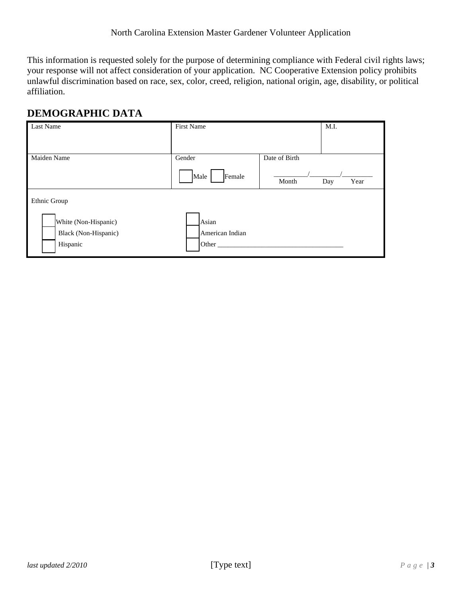This information is requested solely for the purpose of determining compliance with Federal civil rights laws; your response will not affect consideration of your application. NC Cooperative Extension policy prohibits unlawful discrimination based on race, sex, color, creed, religion, national origin, age, disability, or political affiliation.

## **DEMOGRAPHIC DATA**

| Last Name                                                                | <b>First Name</b>                 | M.I.                                  |
|--------------------------------------------------------------------------|-----------------------------------|---------------------------------------|
| Maiden Name                                                              | Gender<br>Female<br>Male          | Date of Birth<br>Year<br>Month<br>Day |
| Ethnic Group<br>White (Non-Hispanic)<br>Black (Non-Hispanic)<br>Hispanic | Asian<br>American Indian<br>Other |                                       |